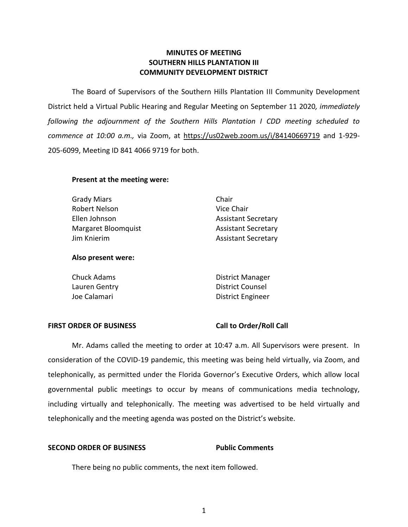# **MINUTES OF MEETING SOUTHERN HILLS PLANTATION III COMMUNITY DEVELOPMENT DISTRICT**

 The Board of Supervisors of the Southern Hills Plantation III Community Development District held a Virtual Public Hearing and Regular Meeting on September 11 2020*, immediately following the adjournment of the Southern Hills Plantation I CDD meeting scheduled to commence at 10:00 a.m.,* via Zoom, at [https://us02web.zoom.us/i/84140669719 and 1-929-](https://us02web.zoom.us/i/84140669719%20and%201-929-205-6099) [205-6099,](https://us02web.zoom.us/i/84140669719%20and%201-929-205-6099) Meeting ID 841 4066 9719 for both.

# **Present at the meeting were:**

| Grady Miars         | Chair                      |
|---------------------|----------------------------|
| Robert Nelson       | Vice Chair                 |
| Ellen Johnson       | <b>Assistant Secretary</b> |
| Margaret Bloomquist | <b>Assistant Secretary</b> |
| Jim Knierim         | <b>Assistant Secretary</b> |

### **Also present were:**

| Chuck Adams   | <b>District Manager</b> |
|---------------|-------------------------|
| Lauren Gentry | District Counsel        |
| Joe Calamari  | District Engineer       |

### FIRST ORDER OF BUSINESS Call to Order/Roll Call

 Mr. Adams called the meeting to order at 10:47 a.m. All Supervisors were present. In consideration of the COVID-19 pandemic, this meeting was being held virtually, via Zoom, and telephonically, as permitted under the Florida Governor's Executive Orders, which allow local governmental public meetings to occur by means of communications media technology, including virtually and telephonically. The meeting was advertised to be held virtually and telephonically and the meeting agenda was posted on the District's website.

## **SECOND ORDER OF BUSINESS Public Comments**

There being no public comments, the next item followed.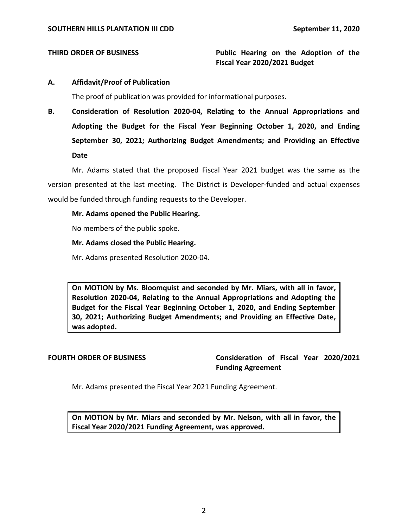# **THIRD ORDER OF BUSINESS THIRD ORDER OF BUSINESS Fiscal Year 2020/2021 Budget**

# **A. Affidavit/Proof of Publication**

The proof of publication was provided for informational purposes.

 **B. Consideration of Resolution 2020-04, Relating to the Annual Appropriations and Adopting the Budget for the Fiscal Year Beginning October 1, 2020, and Ending September 30, 2021; Authorizing Budget Amendments; and Providing an Effective Date** 

 Mr. Adams stated that the proposed Fiscal Year 2021 budget was the same as the version presented at the last meeting. The District is Developer-funded and actual expenses would be funded through funding requests to the Developer.

# **Mr. Adams opened the Public Hearing.**

No members of the public spoke.

# **Mr. Adams closed the Public Hearing.**

Mr. Adams presented Resolution 2020-04.

 **On MOTION by Ms. Bloomquist and seconded by Mr. Miars, with all in favor, Resolution 2020-04, Relating to the Annual Appropriations and Adopting the Budget for the Fiscal Year Beginning October 1, 2020, and Ending September 30, 2021; Authorizing Budget Amendments; and Providing an Effective Date, was adopted.** 

 **FOURTH ORDER OF BUSINESS Consideration of Fiscal Year 2020/2021 Funding Agreement** 

Mr. Adams presented the Fiscal Year 2021 Funding Agreement.

 **On MOTION by Mr. Miars and seconded by Mr. Nelson, with all in favor, the Fiscal Year 2020/2021 Funding Agreement, was approved.**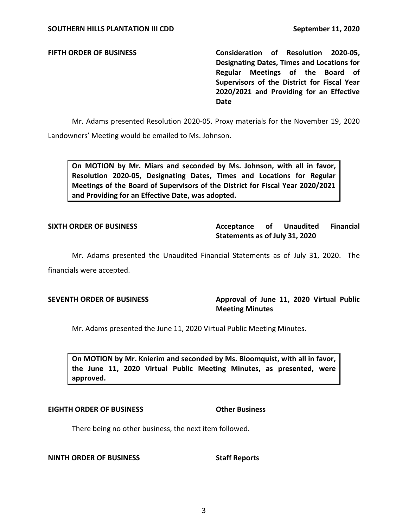**FIFTH ORDER OF BUSINESS Consideration of Resolution 2020-05, Designating Dates, Times and Locations for Regular Meetings of the Board of Supervisors of the District for Fiscal Year 2020/2021 and Providing for an Effective Date** 

 Mr. Adams presented Resolution 2020-05. Proxy materials for the November 19, 2020 Landowners' Meeting would be emailed to Ms. Johnson.

 **On MOTION by Mr. Miars and seconded by Ms. Johnson, with all in favor, Resolution 2020-05, Designating Dates, Times and Locations for Regular Meetings of the Board of Supervisors of the District for Fiscal Year 2020/2021 and Providing for an Effective Date, was adopted.** 

**Unaudited Statements as of July 31, 2020 SIXTH ORDER OF BUSINESS Acceptance of Unaudited Financial** 

 Mr. Adams presented the Unaudited Financial Statements as of July 31, 2020. The financials were accepted.

SEVENTH ORDER OF BUSINESS **Approval of June 11, 2020 Virtual Public Meeting Minutes** 

Mr. Adams presented the June 11, 2020 Virtual Public Meeting Minutes.

 **On MOTION by Mr. Knierim and seconded by Ms. Bloomquist, with all in favor, the June 11, 2020 Virtual Public Meeting Minutes, as presented, were approved.** 

## **EIGHTH ORDER OF BUSINESS Other Business**

There being no other business, the next item followed.

## **NINTH ORDER OF BUSINESS** Staff Reports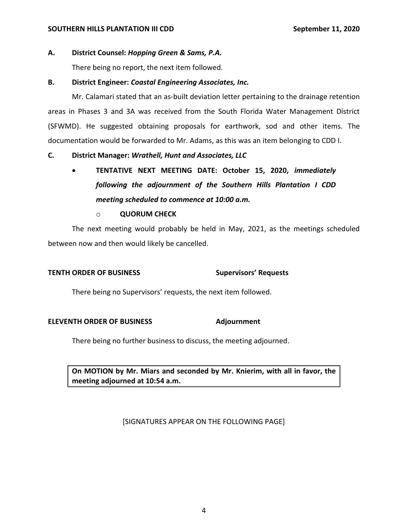### **SOUTHERN HILLS PLANTATION III CDD** September 11, 2020

# **A. District Counsel:** *Hopping Green & Sams, P.A.*

There being no report, the next item followed.

# **B. District Engineer:** *Coastal Engineering Associates, Inc.*

 Mr. Calamari stated that an as-built deviation letter pertaining to the drainage retention areas in Phases 3 and 3A was received from the South Florida Water Management District documentation would be forwarded to Mr. Adams, as this was an item belonging to CDD I. (SFWMD). He suggested obtaining proposals for earthwork, sod and other items. The

# **C. District Manager:** *Wrathell, Hunt and Associates, LLC*

 • **TENTATIVE NEXT MEETING DATE: October 15, 2020,** *immediately following the adjournment of the Southern Hills Plantation I CDD meeting scheduled to commence at 10:00 a.m.* 

## o **QUORUM CHECK**

 The next meeting would probably be held in May, 2021, as the meetings scheduled between now and then would likely be cancelled.

## **TENTH ORDER OF BUSINESS Supervisors' Requests**

There being no Supervisors' requests, the next item followed.

## **ELEVENTH ORDER OF BUSINESS Adjournment**

There being no further business to discuss, the meeting adjourned.

 **On MOTION by Mr. Miars and seconded by Mr. Knierim, with all in favor, the meeting adjourned at 10:54 a.m.** 

[SIGNATURES APPEAR ON THE FOLLOWING PAGE]